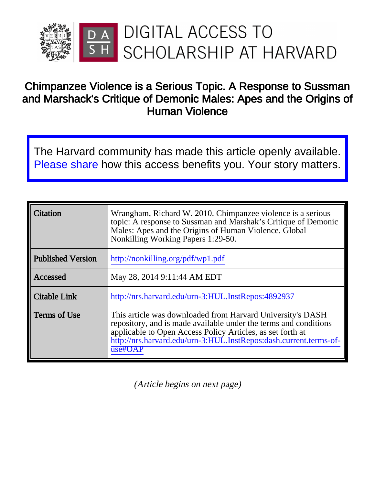

# Chimpanzee Violence is a Serious Topic. A Response to Sussman and Marshack's Critique of Demonic Males: Apes and the Origins of Human Violence

The Harvard community has made this article openly available. [Please share](http://osc.hul.harvard.edu/dash/open-access-feedback?handle=1/4892937&title=Chimpanzee+Violence+is+a+Serious+Topic.+A+Response+to+Sussman+and+Marshack%27s+Critique+of+Demonic+Males%3A+Apes+and+the+Origins+of+Human+Violence) how this access benefits you. Your story matters.

| Citation                 | Wrangham, Richard W. 2010. Chimpanzee violence is a serious<br>topic: A response to Sussman and Marshak's Critique of Demonic<br>Males: Apes and the Origins of Human Violence. Global<br>Nonkilling Working Papers 1:29-50.                                                 |
|--------------------------|------------------------------------------------------------------------------------------------------------------------------------------------------------------------------------------------------------------------------------------------------------------------------|
| <b>Published Version</b> | http://nonkilling.org/pdf/wp1.pdf                                                                                                                                                                                                                                            |
| Accessed                 | May 28, 2014 9:11:44 AM EDT                                                                                                                                                                                                                                                  |
| <b>Citable Link</b>      | http://nrs.harvard.edu/urn-3:HUL.InstRepos:4892937                                                                                                                                                                                                                           |
| Terms of Use             | This article was downloaded from Harvard University's DASH<br>repository, and is made available under the terms and conditions<br>applicable to Open Access Policy Articles, as set forth at<br>http://nrs.harvard.edu/urn-3:HUL.InstRepos:dash.current.terms-of-<br>use#OAP |

(Article begins on next page)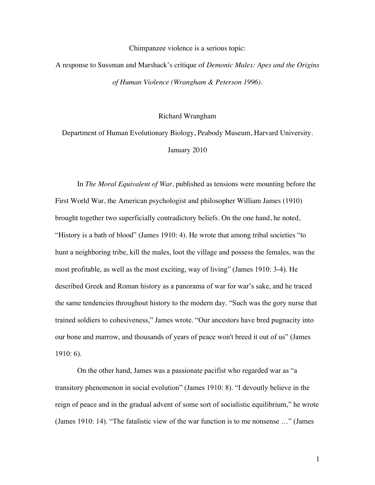Chimpanzee violence is a serious topic:

A response to Sussman and Marshack's critique of *Demonic Males: Apes and the Origins of Human Violence (Wrangham & Peterson 1996)*.

Richard Wrangham

Department of Human Evolutionary Biology, Peabody Museum, Harvard University. January 2010

In *The Moral Equivalent of War,* published as tensions were mounting before the First World War, the American psychologist and philosopher William James (1910) brought together two superficially contradictory beliefs. On the one hand, he noted, "History is a bath of blood" (James 1910: 4). He wrote that among tribal societies "to hunt a neighboring tribe, kill the males, loot the village and possess the females, was the most profitable, as well as the most exciting, way of living" (James 1910: 3-4). He described Greek and Roman history as a panorama of war for war's sake, and he traced the same tendencies throughout history to the modern day. "Such was the gory nurse that trained soldiers to cohesiveness," James wrote. "Our ancestors have bred pugnacity into our bone and marrow, and thousands of years of peace won't breed it out of us" (James 1910: 6).

On the other hand, James was a passionate pacifist who regarded war as "a transitory phenomenon in social evolution" (James 1910: 8). "I devoutly believe in the reign of peace and in the gradual advent of some sort of socialistic equilibrium," he wrote (James 1910: 14). "The fatalistic view of the war function is to me nonsense …" (James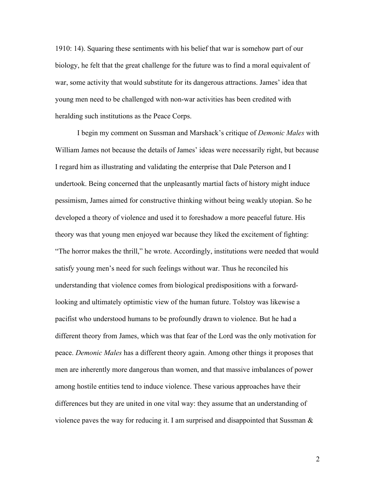1910: 14). Squaring these sentiments with his belief that war is somehow part of our biology, he felt that the great challenge for the future was to find a moral equivalent of war, some activity that would substitute for its dangerous attractions. James' idea that young men need to be challenged with non-war activities has been credited with heralding such institutions as the Peace Corps.

I begin my comment on Sussman and Marshack's critique of *Demonic Males* with William James not because the details of James' ideas were necessarily right, but because I regard him as illustrating and validating the enterprise that Dale Peterson and I undertook. Being concerned that the unpleasantly martial facts of history might induce pessimism, James aimed for constructive thinking without being weakly utopian. So he developed a theory of violence and used it to foreshadow a more peaceful future. His theory was that young men enjoyed war because they liked the excitement of fighting: "The horror makes the thrill," he wrote. Accordingly, institutions were needed that would satisfy young men's need for such feelings without war. Thus he reconciled his understanding that violence comes from biological predispositions with a forwardlooking and ultimately optimistic view of the human future. Tolstoy was likewise a pacifist who understood humans to be profoundly drawn to violence. But he had a different theory from James, which was that fear of the Lord was the only motivation for peace. *Demonic Males* has a different theory again. Among other things it proposes that men are inherently more dangerous than women, and that massive imbalances of power among hostile entities tend to induce violence. These various approaches have their differences but they are united in one vital way: they assume that an understanding of violence paves the way for reducing it. I am surprised and disappointed that Sussman  $\&$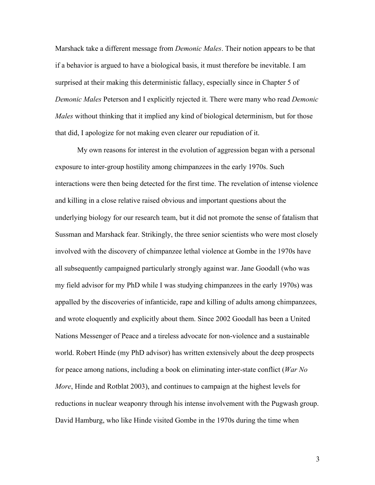Marshack take a different message from *Demonic Males*. Their notion appears to be that if a behavior is argued to have a biological basis, it must therefore be inevitable. I am surprised at their making this deterministic fallacy, especially since in Chapter 5 of *Demonic Males* Peterson and I explicitly rejected it. There were many who read *Demonic Males* without thinking that it implied any kind of biological determinism, but for those that did, I apologize for not making even clearer our repudiation of it.

My own reasons for interest in the evolution of aggression began with a personal exposure to inter-group hostility among chimpanzees in the early 1970s. Such interactions were then being detected for the first time. The revelation of intense violence and killing in a close relative raised obvious and important questions about the underlying biology for our research team, but it did not promote the sense of fatalism that Sussman and Marshack fear. Strikingly, the three senior scientists who were most closely involved with the discovery of chimpanzee lethal violence at Gombe in the 1970s have all subsequently campaigned particularly strongly against war. Jane Goodall (who was my field advisor for my PhD while I was studying chimpanzees in the early 1970s) was appalled by the discoveries of infanticide, rape and killing of adults among chimpanzees, and wrote eloquently and explicitly about them. Since 2002 Goodall has been a United Nations Messenger of Peace and a tireless advocate for non-violence and a sustainable world. Robert Hinde (my PhD advisor) has written extensively about the deep prospects for peace among nations, including a book on eliminating inter-state conflict (*War No More*, Hinde and Rotblat 2003), and continues to campaign at the highest levels for reductions in nuclear weaponry through his intense involvement with the Pugwash group. David Hamburg, who like Hinde visited Gombe in the 1970s during the time when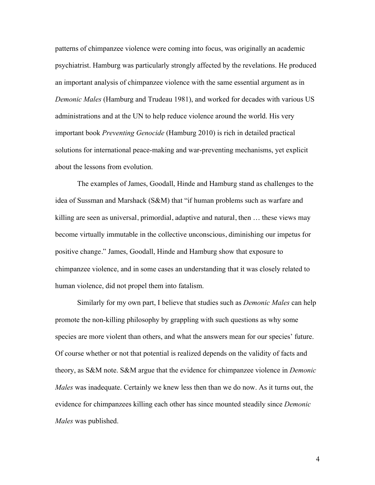patterns of chimpanzee violence were coming into focus, was originally an academic psychiatrist. Hamburg was particularly strongly affected by the revelations. He produced an important analysis of chimpanzee violence with the same essential argument as in *Demonic Males* (Hamburg and Trudeau 1981), and worked for decades with various US administrations and at the UN to help reduce violence around the world. His very important book *Preventing Genocide* (Hamburg 2010) is rich in detailed practical solutions for international peace-making and war-preventing mechanisms, yet explicit about the lessons from evolution.

The examples of James, Goodall, Hinde and Hamburg stand as challenges to the idea of Sussman and Marshack (S&M) that "if human problems such as warfare and killing are seen as universal, primordial, adaptive and natural, then … these views may become virtually immutable in the collective unconscious, diminishing our impetus for positive change." James, Goodall, Hinde and Hamburg show that exposure to chimpanzee violence, and in some cases an understanding that it was closely related to human violence, did not propel them into fatalism.

Similarly for my own part, I believe that studies such as *Demonic Males* can help promote the non-killing philosophy by grappling with such questions as why some species are more violent than others, and what the answers mean for our species' future. Of course whether or not that potential is realized depends on the validity of facts and theory, as S&M note. S&M argue that the evidence for chimpanzee violence in *Demonic Males* was inadequate. Certainly we knew less then than we do now. As it turns out, the evidence for chimpanzees killing each other has since mounted steadily since *Demonic Males* was published.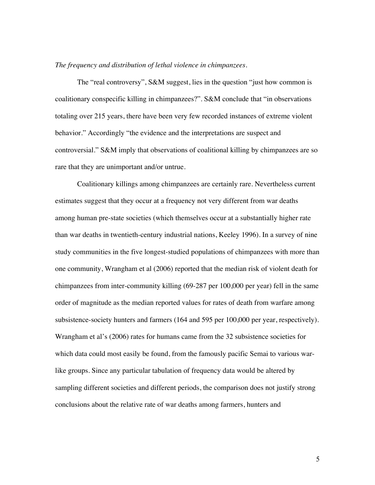#### *The frequency and distribution of lethal violence in chimpanzees.*

The "real controversy", S&M suggest, lies in the question "just how common is coalitionary conspecific killing in chimpanzees?". S&M conclude that "in observations totaling over 215 years, there have been very few recorded instances of extreme violent behavior." Accordingly "the evidence and the interpretations are suspect and controversial." S&M imply that observations of coalitional killing by chimpanzees are so rare that they are unimportant and/or untrue.

Coalitionary killings among chimpanzees are certainly rare. Nevertheless current estimates suggest that they occur at a frequency not very different from war deaths among human pre-state societies (which themselves occur at a substantially higher rate than war deaths in twentieth-century industrial nations, Keeley 1996). In a survey of nine study communities in the five longest-studied populations of chimpanzees with more than one community, Wrangham et al (2006) reported that the median risk of violent death for chimpanzees from inter-community killing (69-287 per 100,000 per year) fell in the same order of magnitude as the median reported values for rates of death from warfare among subsistence-society hunters and farmers (164 and 595 per 100,000 per year, respectively). Wrangham et al's (2006) rates for humans came from the 32 subsistence societies for which data could most easily be found, from the famously pacific Semai to various warlike groups. Since any particular tabulation of frequency data would be altered by sampling different societies and different periods, the comparison does not justify strong conclusions about the relative rate of war deaths among farmers, hunters and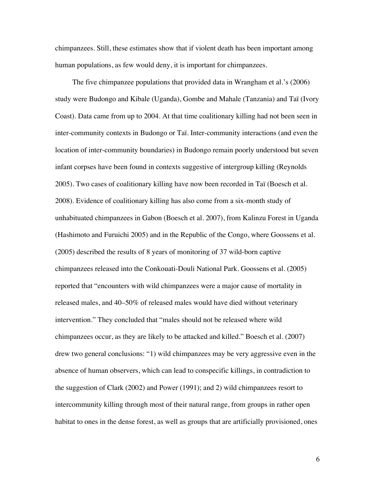chimpanzees. Still, these estimates show that if violent death has been important among human populations, as few would deny, it is important for chimpanzees.

The five chimpanzee populations that provided data in Wrangham et al.'s (2006) study were Budongo and Kibale (Uganda), Gombe and Mahale (Tanzania) and Taï (Ivory Coast). Data came from up to 2004. At that time coalitionary killing had not been seen in inter-community contexts in Budongo or Taï. Inter-community interactions (and even the location of inter-community boundaries) in Budongo remain poorly understood but seven infant corpses have been found in contexts suggestive of intergroup killing (Reynolds 2005). Two cases of coalitionary killing have now been recorded in Taï (Boesch et al. 2008). Evidence of coalitionary killing has also come from a six-month study of unhabituated chimpanzees in Gabon (Boesch et al. 2007), from Kalinzu Forest in Uganda (Hashimoto and Furuichi 2005) and in the Republic of the Congo, where Goossens et al. (2005) described the results of 8 years of monitoring of 37 wild-born captive chimpanzees released into the Conkouati-Douli National Park. Goossens et al. (2005) reported that "encounters with wild chimpanzees were a major cause of mortality in released males, and 40–50% of released males would have died without veterinary intervention." They concluded that "males should not be released where wild chimpanzees occur, as they are likely to be attacked and killed." Boesch et al. (2007) drew two general conclusions: "1) wild chimpanzees may be very aggressive even in the absence of human observers, which can lead to conspecific killings, in contradiction to the suggestion of Clark (2002) and Power (1991); and 2) wild chimpanzees resort to intercommunity killing through most of their natural range, from groups in rather open habitat to ones in the dense forest, as well as groups that are artificially provisioned, ones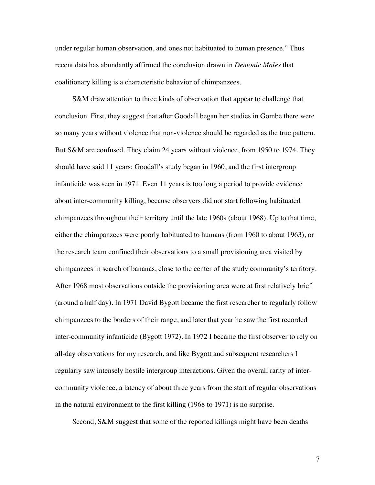under regular human observation, and ones not habituated to human presence." Thus recent data has abundantly affirmed the conclusion drawn in *Demonic Males* that coalitionary killing is a characteristic behavior of chimpanzees.

S&M draw attention to three kinds of observation that appear to challenge that conclusion. First, they suggest that after Goodall began her studies in Gombe there were so many years without violence that non-violence should be regarded as the true pattern. But S&M are confused. They claim 24 years without violence, from 1950 to 1974. They should have said 11 years: Goodall's study began in 1960, and the first intergroup infanticide was seen in 1971. Even 11 years is too long a period to provide evidence about inter-community killing, because observers did not start following habituated chimpanzees throughout their territory until the late 1960s (about 1968). Up to that time, either the chimpanzees were poorly habituated to humans (from 1960 to about 1963), or the research team confined their observations to a small provisioning area visited by chimpanzees in search of bananas, close to the center of the study community's territory. After 1968 most observations outside the provisioning area were at first relatively brief (around a half day). In 1971 David Bygott became the first researcher to regularly follow chimpanzees to the borders of their range, and later that year he saw the first recorded inter-community infanticide (Bygott 1972). In 1972 I became the first observer to rely on all-day observations for my research, and like Bygott and subsequent researchers I regularly saw intensely hostile intergroup interactions. Given the overall rarity of intercommunity violence, a latency of about three years from the start of regular observations in the natural environment to the first killing (1968 to 1971) is no surprise.

Second, S&M suggest that some of the reported killings might have been deaths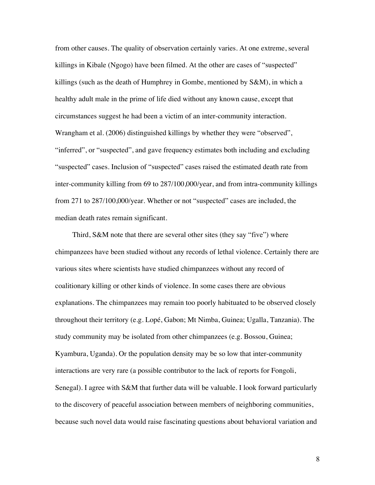from other causes. The quality of observation certainly varies. At one extreme, several killings in Kibale (Ngogo) have been filmed. At the other are cases of "suspected" killings (such as the death of Humphrey in Gombe, mentioned by S&M), in which a healthy adult male in the prime of life died without any known cause, except that circumstances suggest he had been a victim of an inter-community interaction. Wrangham et al. (2006) distinguished killings by whether they were "observed", "inferred", or "suspected", and gave frequency estimates both including and excluding "suspected" cases. Inclusion of "suspected" cases raised the estimated death rate from inter-community killing from 69 to 287/100,000/year, and from intra-community killings from 271 to 287/100,000/year. Whether or not "suspected" cases are included, the median death rates remain significant.

Third, S&M note that there are several other sites (they say "five") where chimpanzees have been studied without any records of lethal violence. Certainly there are various sites where scientists have studied chimpanzees without any record of coalitionary killing or other kinds of violence. In some cases there are obvious explanations. The chimpanzees may remain too poorly habituated to be observed closely throughout their territory (e.g. Lopé, Gabon; Mt Nimba, Guinea; Ugalla, Tanzania). The study community may be isolated from other chimpanzees (e.g. Bossou, Guinea; Kyambura, Uganda). Or the population density may be so low that inter-community interactions are very rare (a possible contributor to the lack of reports for Fongoli, Senegal). I agree with S&M that further data will be valuable. I look forward particularly to the discovery of peaceful association between members of neighboring communities, because such novel data would raise fascinating questions about behavioral variation and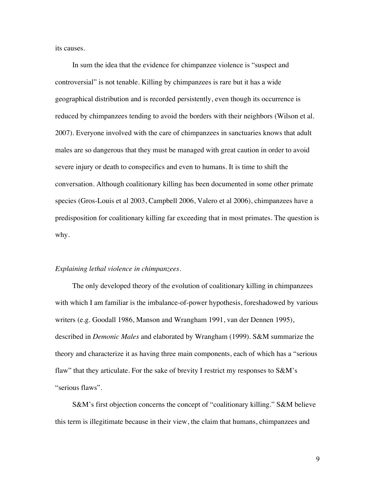its causes.

In sum the idea that the evidence for chimpanzee violence is "suspect and controversial" is not tenable. Killing by chimpanzees is rare but it has a wide geographical distribution and is recorded persistently, even though its occurrence is reduced by chimpanzees tending to avoid the borders with their neighbors (Wilson et al. 2007). Everyone involved with the care of chimpanzees in sanctuaries knows that adult males are so dangerous that they must be managed with great caution in order to avoid severe injury or death to conspecifics and even to humans. It is time to shift the conversation. Although coalitionary killing has been documented in some other primate species (Gros-Louis et al 2003, Campbell 2006, Valero et al 2006), chimpanzees have a predisposition for coalitionary killing far exceeding that in most primates. The question is why.

## *Explaining lethal violence in chimpanzees.*

The only developed theory of the evolution of coalitionary killing in chimpanzees with which I am familiar is the imbalance-of-power hypothesis, foreshadowed by various writers (e.g. Goodall 1986, Manson and Wrangham 1991, van der Dennen 1995), described in *Demonic Males* and elaborated by Wrangham (1999). S&M summarize the theory and characterize it as having three main components, each of which has a "serious flaw" that they articulate. For the sake of brevity I restrict my responses to S&M's "serious flaws".

S&M's first objection concerns the concept of "coalitionary killing." S&M believe this term is illegitimate because in their view, the claim that humans, chimpanzees and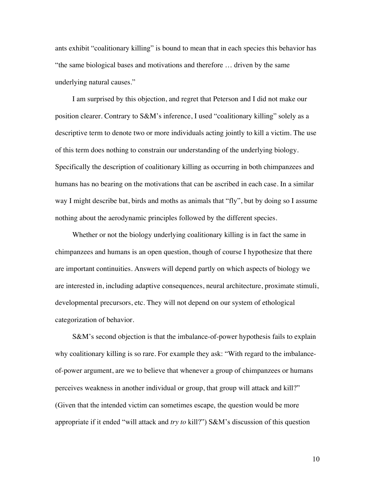ants exhibit "coalitionary killing" is bound to mean that in each species this behavior has "the same biological bases and motivations and therefore … driven by the same underlying natural causes."

I am surprised by this objection, and regret that Peterson and I did not make our position clearer. Contrary to S&M's inference, I used "coalitionary killing" solely as a descriptive term to denote two or more individuals acting jointly to kill a victim. The use of this term does nothing to constrain our understanding of the underlying biology. Specifically the description of coalitionary killing as occurring in both chimpanzees and humans has no bearing on the motivations that can be ascribed in each case. In a similar way I might describe bat, birds and moths as animals that "fly", but by doing so I assume nothing about the aerodynamic principles followed by the different species.

Whether or not the biology underlying coalitionary killing is in fact the same in chimpanzees and humans is an open question, though of course I hypothesize that there are important continuities. Answers will depend partly on which aspects of biology we are interested in, including adaptive consequences, neural architecture, proximate stimuli, developmental precursors, etc. They will not depend on our system of ethological categorization of behavior.

S&M's second objection is that the imbalance-of-power hypothesis fails to explain why coalitionary killing is so rare. For example they ask: "With regard to the imbalanceof-power argument, are we to believe that whenever a group of chimpanzees or humans perceives weakness in another individual or group, that group will attack and kill?" (Given that the intended victim can sometimes escape, the question would be more appropriate if it ended "will attack and *try to* kill?") S&M's discussion of this question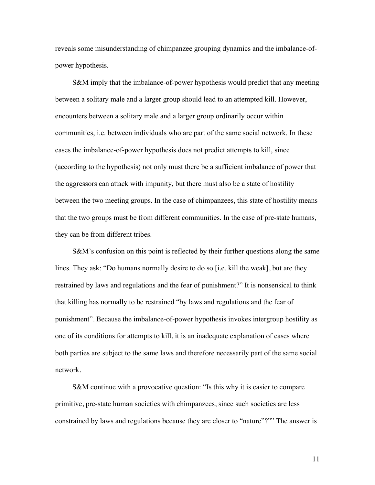reveals some misunderstanding of chimpanzee grouping dynamics and the imbalance-ofpower hypothesis.

S&M imply that the imbalance-of-power hypothesis would predict that any meeting between a solitary male and a larger group should lead to an attempted kill. However, encounters between a solitary male and a larger group ordinarily occur within communities, i.e. between individuals who are part of the same social network. In these cases the imbalance-of-power hypothesis does not predict attempts to kill, since (according to the hypothesis) not only must there be a sufficient imbalance of power that the aggressors can attack with impunity, but there must also be a state of hostility between the two meeting groups. In the case of chimpanzees, this state of hostility means that the two groups must be from different communities. In the case of pre-state humans, they can be from different tribes.

S&M's confusion on this point is reflected by their further questions along the same lines. They ask: "Do humans normally desire to do so [i.e. kill the weak], but are they restrained by laws and regulations and the fear of punishment?" It is nonsensical to think that killing has normally to be restrained "by laws and regulations and the fear of punishment". Because the imbalance-of-power hypothesis invokes intergroup hostility as one of its conditions for attempts to kill, it is an inadequate explanation of cases where both parties are subject to the same laws and therefore necessarily part of the same social network.

S&M continue with a provocative question: "Is this why it is easier to compare primitive, pre-state human societies with chimpanzees, since such societies are less constrained by laws and regulations because they are closer to "nature"?"" The answer is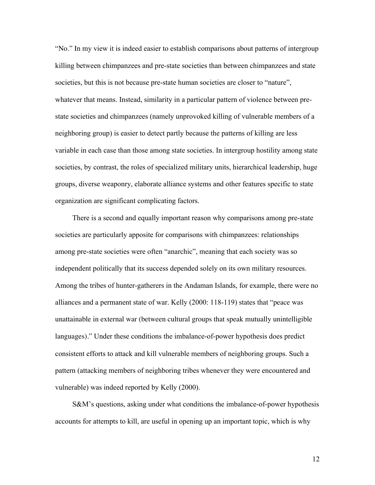"No." In my view it is indeed easier to establish comparisons about patterns of intergroup killing between chimpanzees and pre-state societies than between chimpanzees and state societies, but this is not because pre-state human societies are closer to "nature", whatever that means. Instead, similarity in a particular pattern of violence between prestate societies and chimpanzees (namely unprovoked killing of vulnerable members of a neighboring group) is easier to detect partly because the patterns of killing are less variable in each case than those among state societies. In intergroup hostility among state societies, by contrast, the roles of specialized military units, hierarchical leadership, huge groups, diverse weaponry, elaborate alliance systems and other features specific to state organization are significant complicating factors.

There is a second and equally important reason why comparisons among pre-state societies are particularly apposite for comparisons with chimpanzees: relationships among pre-state societies were often "anarchic", meaning that each society was so independent politically that its success depended solely on its own military resources. Among the tribes of hunter-gatherers in the Andaman Islands, for example, there were no alliances and a permanent state of war. Kelly (2000: 118-119) states that "peace was unattainable in external war (between cultural groups that speak mutually unintelligible languages)." Under these conditions the imbalance-of-power hypothesis does predict consistent efforts to attack and kill vulnerable members of neighboring groups. Such a pattern (attacking members of neighboring tribes whenever they were encountered and vulnerable) was indeed reported by Kelly (2000).

S&M's questions, asking under what conditions the imbalance-of-power hypothesis accounts for attempts to kill, are useful in opening up an important topic, which is why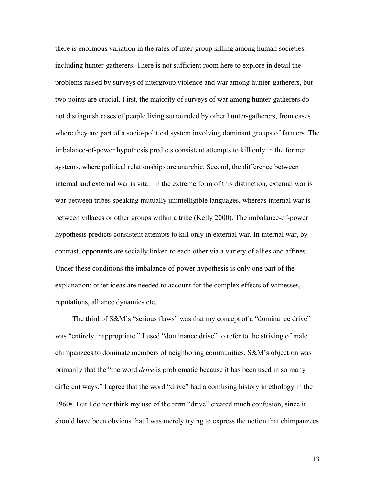there is enormous variation in the rates of inter-group killing among human societies, including hunter-gatherers. There is not sufficient room here to explore in detail the problems raised by surveys of intergroup violence and war among hunter-gatherers, but two points are crucial. First, the majority of surveys of war among hunter-gatherers do not distinguish cases of people living surrounded by other hunter-gatherers, from cases where they are part of a socio-political system involving dominant groups of farmers. The imbalance-of-power hypothesis predicts consistent attempts to kill only in the former systems, where political relationships are anarchic. Second, the difference between internal and external war is vital. In the extreme form of this distinction, external war is war between tribes speaking mutually unintelligible languages, whereas internal war is between villages or other groups within a tribe (Kelly 2000). The imbalance-of-power hypothesis predicts consistent attempts to kill only in external war. In internal war, by contrast, opponents are socially linked to each other via a variety of allies and affines. Under these conditions the imbalance-of-power hypothesis is only one part of the explanation: other ideas are needed to account for the complex effects of witnesses, reputations, alliance dynamics etc.

The third of S&M's "serious flaws" was that my concept of a "dominance drive" was "entirely inappropriate." I used "dominance drive" to refer to the striving of male chimpanzees to dominate members of neighboring communities. S&M's objection was primarily that the "the word *drive* is problematic because it has been used in so many different ways." I agree that the word "drive" had a confusing history in ethology in the 1960s. But I do not think my use of the term "drive" created much confusion, since it should have been obvious that I was merely trying to express the notion that chimpanzees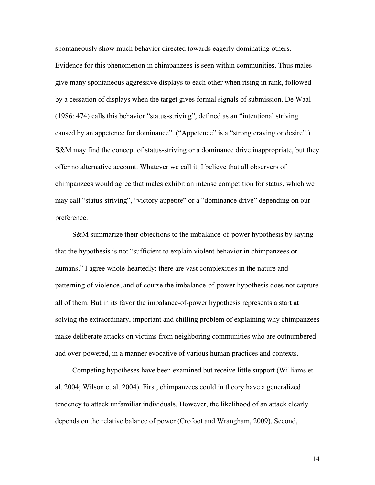spontaneously show much behavior directed towards eagerly dominating others. Evidence for this phenomenon in chimpanzees is seen within communities. Thus males give many spontaneous aggressive displays to each other when rising in rank, followed by a cessation of displays when the target gives formal signals of submission. De Waal (1986: 474) calls this behavior "status-striving", defined as an "intentional striving caused by an appetence for dominance". ("Appetence" is a "strong craving or desire".) S&M may find the concept of status-striving or a dominance drive inappropriate, but they offer no alternative account. Whatever we call it, I believe that all observers of chimpanzees would agree that males exhibit an intense competition for status, which we may call "status-striving", "victory appetite" or a "dominance drive" depending on our preference.

S&M summarize their objections to the imbalance-of-power hypothesis by saying that the hypothesis is not "sufficient to explain violent behavior in chimpanzees or humans." I agree whole-heartedly: there are vast complexities in the nature and patterning of violence, and of course the imbalance-of-power hypothesis does not capture all of them. But in its favor the imbalance-of-power hypothesis represents a start at solving the extraordinary, important and chilling problem of explaining why chimpanzees make deliberate attacks on victims from neighboring communities who are outnumbered and over-powered, in a manner evocative of various human practices and contexts.

Competing hypotheses have been examined but receive little support (Williams et al. 2004; Wilson et al. 2004). First, chimpanzees could in theory have a generalized tendency to attack unfamiliar individuals. However, the likelihood of an attack clearly depends on the relative balance of power (Crofoot and Wrangham, 2009). Second,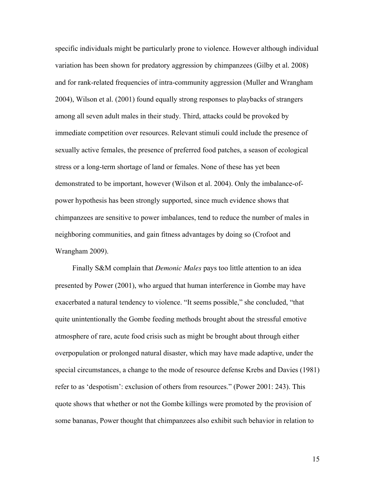specific individuals might be particularly prone to violence. However although individual variation has been shown for predatory aggression by chimpanzees (Gilby et al. 2008) and for rank-related frequencies of intra-community aggression (Muller and Wrangham 2004), Wilson et al. (2001) found equally strong responses to playbacks of strangers among all seven adult males in their study. Third, attacks could be provoked by immediate competition over resources. Relevant stimuli could include the presence of sexually active females, the presence of preferred food patches, a season of ecological stress or a long-term shortage of land or females. None of these has yet been demonstrated to be important, however (Wilson et al. 2004). Only the imbalance-ofpower hypothesis has been strongly supported, since much evidence shows that chimpanzees are sensitive to power imbalances, tend to reduce the number of males in neighboring communities, and gain fitness advantages by doing so (Crofoot and Wrangham 2009).

Finally S&M complain that *Demonic Males* pays too little attention to an idea presented by Power (2001), who argued that human interference in Gombe may have exacerbated a natural tendency to violence. "It seems possible," she concluded, "that quite unintentionally the Gombe feeding methods brought about the stressful emotive atmosphere of rare, acute food crisis such as might be brought about through either overpopulation or prolonged natural disaster, which may have made adaptive, under the special circumstances, a change to the mode of resource defense Krebs and Davies (1981) refer to as 'despotism': exclusion of others from resources." (Power 2001: 243). This quote shows that whether or not the Gombe killings were promoted by the provision of some bananas, Power thought that chimpanzees also exhibit such behavior in relation to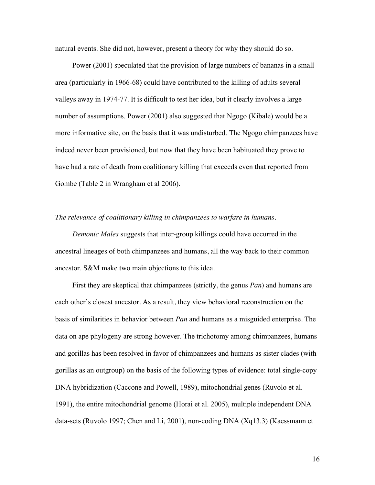natural events. She did not, however, present a theory for why they should do so.

Power (2001) speculated that the provision of large numbers of bananas in a small area (particularly in 1966-68) could have contributed to the killing of adults several valleys away in 1974-77. It is difficult to test her idea, but it clearly involves a large number of assumptions. Power (2001) also suggested that Ngogo (Kibale) would be a more informative site, on the basis that it was undisturbed. The Ngogo chimpanzees have indeed never been provisioned, but now that they have been habituated they prove to have had a rate of death from coalitionary killing that exceeds even that reported from Gombe (Table 2 in Wrangham et al 2006).

#### *The relevance of coalitionary killing in chimpanzees to warfare in humans.*

*Demonic Males* suggests that inter-group killings could have occurred in the ancestral lineages of both chimpanzees and humans, all the way back to their common ancestor. S&M make two main objections to this idea.

First they are skeptical that chimpanzees (strictly, the genus *Pan*) and humans are each other's closest ancestor. As a result, they view behavioral reconstruction on the basis of similarities in behavior between *Pan* and humans as a misguided enterprise. The data on ape phylogeny are strong however. The trichotomy among chimpanzees, humans and gorillas has been resolved in favor of chimpanzees and humans as sister clades (with gorillas as an outgroup) on the basis of the following types of evidence: total single-copy DNA hybridization (Caccone and Powell, 1989), mitochondrial genes (Ruvolo et al. 1991), the entire mitochondrial genome (Horai et al. 2005), multiple independent DNA data-sets (Ruvolo 1997; Chen and Li, 2001), non-coding DNA (Xq13.3) (Kaessmann et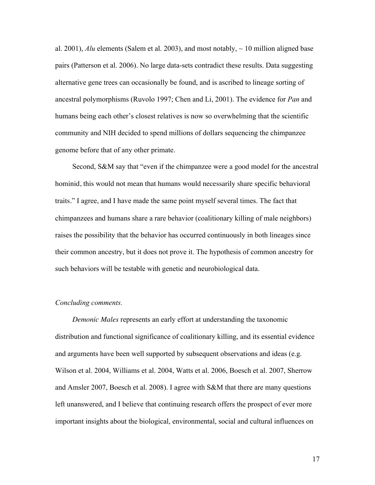al. 2001),  $\Delta I$ u elements (Salem et al. 2003), and most notably,  $\sim 10$  million aligned base pairs (Patterson et al. 2006). No large data-sets contradict these results. Data suggesting alternative gene trees can occasionally be found, and is ascribed to lineage sorting of ancestral polymorphisms (Ruvolo 1997; Chen and Li, 2001). The evidence for *Pan* and humans being each other's closest relatives is now so overwhelming that the scientific community and NIH decided to spend millions of dollars sequencing the chimpanzee genome before that of any other primate.

Second, S&M say that "even if the chimpanzee were a good model for the ancestral hominid, this would not mean that humans would necessarily share specific behavioral traits." I agree, and I have made the same point myself several times. The fact that chimpanzees and humans share a rare behavior (coalitionary killing of male neighbors) raises the possibility that the behavior has occurred continuously in both lineages since their common ancestry, but it does not prove it. The hypothesis of common ancestry for such behaviors will be testable with genetic and neurobiological data.

# *Concluding comments.*

*Demonic Males* represents an early effort at understanding the taxonomic distribution and functional significance of coalitionary killing, and its essential evidence and arguments have been well supported by subsequent observations and ideas (e.g. Wilson et al. 2004, Williams et al. 2004, Watts et al. 2006, Boesch et al. 2007, Sherrow and Amsler 2007, Boesch et al. 2008). I agree with S&M that there are many questions left unanswered, and I believe that continuing research offers the prospect of ever more important insights about the biological, environmental, social and cultural influences on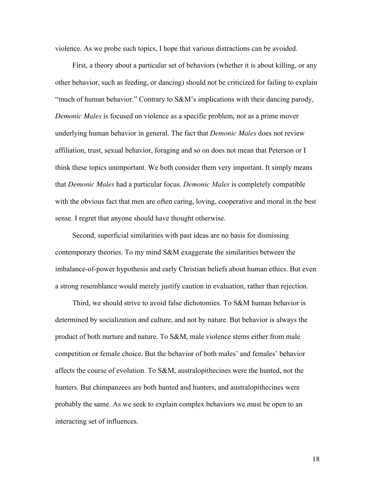violence. As we probe such topics, I hope that various distractions can be avoided.

First, a theory about a particular set of behaviors (whether it is about killing, or any other behavior, such as feeding, or dancing) should not be criticized for failing to explain "much of human behavior." Contrary to S&M's implications with their dancing parody, *Demonic Males* is focused on violence as a specific problem, not as a prime mover underlying human behavior in general. The fact that *Demonic Males* does not review affiliation, trust, sexual behavior, foraging and so on does not mean that Peterson or I think these topics unimportant. We both consider them very important. It simply means that *Demonic Males* had a particular focus. *Demonic Males* is completely compatible with the obvious fact that men are often caring, loving, cooperative and moral in the best sense. I regret that anyone should have thought otherwise.

Second, superficial similarities with past ideas are no basis for dismissing contemporary theories. To my mind S&M exaggerate the similarities between the imbalance-of-power hypothesis and early Christian beliefs about human ethics. But even a strong resemblance would merely justify caution in evaluation, rather than rejection.

Third, we should strive to avoid false dichotomies. To S&M human behavior is determined by socialization and culture, and not by nature. But behavior is always the product of both nurture and nature. To S&M, male violence stems either from male competition or female choice. But the behavior of both males' and females' behavior affects the course of evolution. To S&M, australopithecines were the hunted, not the hunters. But chimpanzees are both hunted and hunters, and australopithecines were probably the same. As we seek to explain complex behaviors we must be open to an interacting set of influences.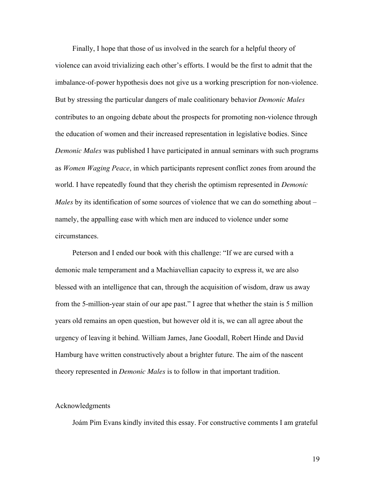Finally, I hope that those of us involved in the search for a helpful theory of violence can avoid trivializing each other's efforts. I would be the first to admit that the imbalance-of-power hypothesis does not give us a working prescription for non-violence. But by stressing the particular dangers of male coalitionary behavior *Demonic Males* contributes to an ongoing debate about the prospects for promoting non-violence through the education of women and their increased representation in legislative bodies. Since *Demonic Males* was published I have participated in annual seminars with such programs as *Women Waging Peace*, in which participants represent conflict zones from around the world. I have repeatedly found that they cherish the optimism represented in *Demonic Males* by its identification of some sources of violence that we can do something about – namely, the appalling ease with which men are induced to violence under some circumstances.

Peterson and I ended our book with this challenge: "If we are cursed with a demonic male temperament and a Machiavellian capacity to express it, we are also blessed with an intelligence that can, through the acquisition of wisdom, draw us away from the 5-million-year stain of our ape past." I agree that whether the stain is 5 million years old remains an open question, but however old it is, we can all agree about the urgency of leaving it behind. William James, Jane Goodall, Robert Hinde and David Hamburg have written constructively about a brighter future. The aim of the nascent theory represented in *Demonic Males* is to follow in that important tradition.

#### Acknowledgments

Joám Pim Evans kindly invited this essay. For constructive comments I am grateful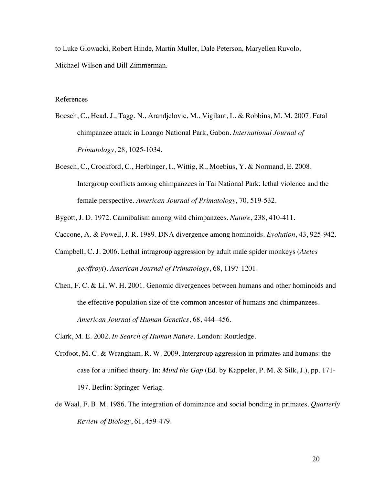to Luke Glowacki, Robert Hinde, Martin Muller, Dale Peterson, Maryellen Ruvolo, Michael Wilson and Bill Zimmerman.

## References

- Boesch, C., Head, J., Tagg, N., Arandjelovic, M., Vigilant, L. & Robbins, M. M. 2007. Fatal chimpanzee attack in Loango National Park, Gabon. *International Journal of Primatology*, 28, 1025-1034.
- Boesch, C., Crockford, C., Herbinger, I., Wittig, R., Moebius, Y. & Normand, E. 2008. Intergroup conflicts among chimpanzees in Tai National Park: lethal violence and the female perspective. *American Journal of Primatology*, 70, 519-532.
- Bygott, J. D. 1972. Cannibalism among wild chimpanzees. *Nature*, 238, 410-411.
- Caccone, A. & Powell, J. R. 1989. DNA divergence among hominoids. *Evolution*, 43, 925-942.
- Campbell, C. J. 2006. Lethal intragroup aggression by adult male spider monkeys (*Ateles geoffroyi*). *American Journal of Primatology*, 68, 1197-1201.
- Chen, F. C. & Li, W. H. 2001. Genomic divergences between humans and other hominoids and the effective population size of the common ancestor of humans and chimpanzees. *American Journal of Human Genetics*, 68, 444–456.
- Clark, M. E. 2002. *In Search of Human Nature*. London: Routledge.
- Crofoot, M. C. & Wrangham, R. W. 2009. Intergroup aggression in primates and humans: the case for a unified theory. In: *Mind the Gap* (Ed. by Kappeler, P. M. & Silk, J.), pp. 171- 197. Berlin: Springer-Verlag.
- de Waal, F. B. M. 1986. The integration of dominance and social bonding in primates. *Quarterly Review of Biology*, 61, 459-479.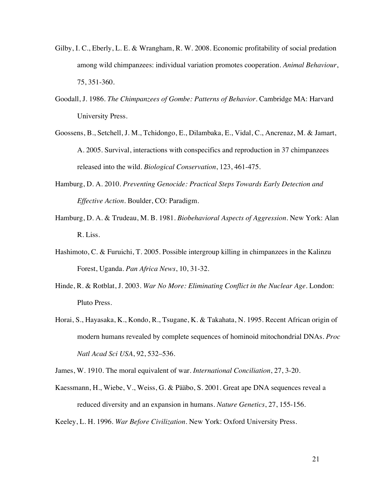- Gilby, I. C., Eberly, L. E. & Wrangham, R. W. 2008. Economic profitability of social predation among wild chimpanzees: individual variation promotes cooperation. *Animal Behaviour*, 75, 351-360.
- Goodall, J. 1986. *The Chimpanzees of Gombe: Patterns of Behavior*. Cambridge MA: Harvard University Press.
- Goossens, B., Setchell, J. M., Tchidongo, E., Dilambaka, E., Vidal, C., Ancrenaz, M. & Jamart, A. 2005. Survival, interactions with conspecifics and reproduction in 37 chimpanzees released into the wild. *Biological Conservation*, 123, 461-475.
- Hamburg, D. A. 2010. *Preventing Genocide: Practical Steps Towards Early Detection and Effective Action.* Boulder, CO: Paradigm.
- Hamburg, D. A. & Trudeau, M. B. 1981. *Biobehavioral Aspects of Aggression*. New York: Alan R. Liss.
- Hashimoto, C. & Furuichi, T. 2005. Possible intergroup killing in chimpanzees in the Kalinzu Forest, Uganda. *Pan Africa News*, 10, 31-32.
- Hinde, R. & Rotblat, J. 2003. *War No More: Eliminating Conflict in the Nuclear Age*. London: Pluto Press.
- Horai, S., Hayasaka, K., Kondo, R., Tsugane, K. & Takahata, N. 1995. Recent African origin of modern humans revealed by complete sequences of hominoid mitochondrial DNAs. *Proc Natl Acad Sci USA*, 92, 532–536.

James, W. 1910. The moral equivalent of war. *International Conciliation*, 27, 3-20.

Kaessmann, H., Wiebe, V., Weiss, G. & Pääbo, S. 2001. Great ape DNA sequences reveal a reduced diversity and an expansion in humans. *Nature Genetics*, 27, 155-156.

Keeley, L. H. 1996. *War Before Civilization.* New York: Oxford University Press.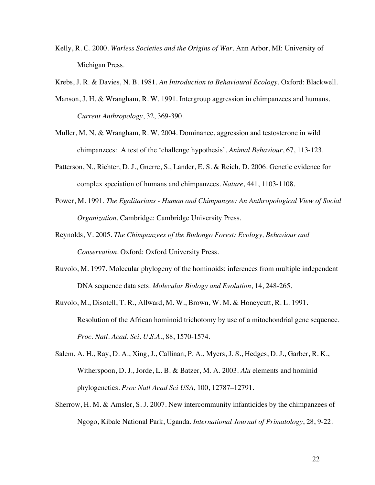- Kelly, R. C. 2000. *Warless Societies and the Origins of War.* Ann Arbor, MI: University of Michigan Press.
- Krebs, J. R. & Davies, N. B. 1981. *An Introduction to Behavioural Ecology.* Oxford: Blackwell.
- Manson, J. H. & Wrangham, R. W. 1991. Intergroup aggression in chimpanzees and humans. *Current Anthropology*, 32, 369-390.
- Muller, M. N. & Wrangham, R. W. 2004. Dominance, aggression and testosterone in wild chimpanzees: A test of the 'challenge hypothesis'. *Animal Behaviour*, 67, 113-123.
- Patterson, N., Richter, D. J., Gnerre, S., Lander, E. S. & Reich, D. 2006. Genetic evidence for complex speciation of humans and chimpanzees. *Nature*, 441, 1103-1108.
- Power, M. 1991. *The Egalitarians Human and Chimpanzee: An Anthropological View of Social Organization.* Cambridge: Cambridge University Press.
- Reynolds, V. 2005. *The Chimpanzees of the Budongo Forest: Ecology, Behaviour and Conservation.* Oxford: Oxford University Press.
- Ruvolo, M. 1997. Molecular phylogeny of the hominoids: inferences from multiple independent DNA sequence data sets. *Molecular Biology and Evolution*, 14, 248-265.
- Ruvolo, M., Disotell, T. R., Allward, M. W., Brown, W. M. & Honeycutt, R. L. 1991. Resolution of the African hominoid trichotomy by use of a mitochondrial gene sequence. *Proc. Natl. Acad. Sci. U.S.A.*, 88, 1570-1574.
- Salem, A. H., Ray, D. A., Xing, J., Callinan, P. A., Myers, J. S., Hedges, D. J., Garber, R. K., Witherspoon, D. J., Jorde, L. B. & Batzer, M. A. 2003. *Alu* elements and hominid phylogenetics. *Proc Natl Acad Sci USA*, 100, 12787–12791.
- Sherrow, H. M. & Amsler, S. J. 2007. New intercommunity infanticides by the chimpanzees of Ngogo, Kibale National Park, Uganda. *International Journal of Primatology*, 28, 9-22.